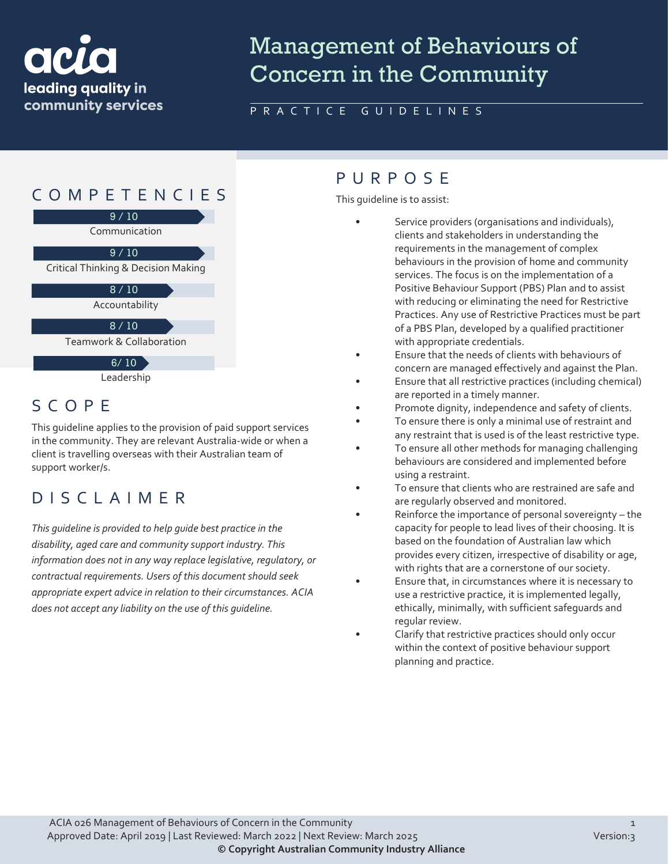# ack leading quality in community services

# Management of Behaviours of Concern in the Community

### PRACTICE GUIDELINES



# SCOPE

This guideline applies to the provision of paid support services in the community. They are relevant Australia-wide or when a client is travelling overseas with their Australian team of support worker/s.

# DISCLAIMER

*This guideline is provided to help guide best practice in the disability, aged care and community support industry. This information does not in any way replace legislative, regulatory, or contractual requirements. Users of this document should seek appropriate expert advice in relation to their circumstances. ACIA does not accept any liability on the use of this guideline.*

### PURPOS E

This guideline is to assist:

- Service providers (organisations and individuals), clients and stakeholders in understanding the requirements in the management of complex behaviours in the provision of home and community services. The focus is on the implementation of a Positive Behaviour Support (PBS) Plan and to assist with reducing or eliminating the need for Restrictive Practices. Any use of Restrictive Practices must be part of a PBS Plan, developed by a qualified practitioner with appropriate credentials.
- Ensure that the needs of clients with behaviours of concern are managed effectively and against the Plan.
- Ensure that all restrictive practices (including chemical) are reported in a timely manner.
- Promote dignity, independence and safety of clients.
- To ensure there is only a minimal use of restraint and any restraint that is used is of the least restrictive type.
- To ensure all other methods for managing challenging behaviours are considered and implemented before using a restraint.
- To ensure that clients who are restrained are safe and are regularly observed and monitored.
- Reinforce the importance of personal sovereignty the capacity for people to lead lives of their choosing. It is based on the foundation of Australian law which provides every citizen, irrespective of disability or age, with rights that are a cornerstone of our society.
- Ensure that, in circumstances where it is necessary to use a restrictive practice, it is implemented legally, ethically, minimally, with sufficient safeguards and regular review.
- Clarify that restrictive practices should only occur within the context of positive behaviour support planning and practice.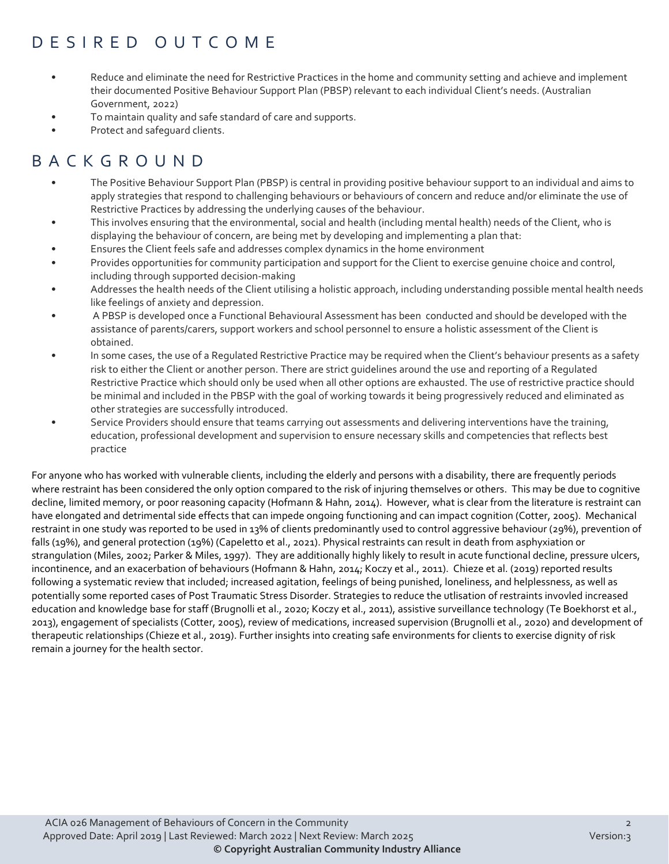# DESIRED OUTCOME

- Reduce and eliminate the need for Restrictive Practices in the home and community setting and achieve and implement their documented Positive Behaviour Support Plan (PBSP) relevant to each individual Client's needs. (Australian Government, 2022)
- To maintain quality and safe standard of care and supports.
- Protect and safeguard clients.

# BACKGROUND

- The Positive Behaviour Support Plan (PBSP) is central in providing positive behaviour support to an individual and aims to apply strategies that respond to challenging behaviours or behaviours of concern and reduce and/or eliminate the use of Restrictive Practices by addressing the underlying causes of the behaviour.
- This involves ensuring that the environmental, social and health (including mental health) needs of the Client, who is displaying the behaviour of concern, are being met by developing and implementing a plan that:
- Ensures the Client feels safe and addresses complex dynamics in the home environment
- Provides opportunities for community participation and support for the Client to exercise genuine choice and control, including through supported decision-making
- Addresses the health needs of the Client utilising a holistic approach, including understanding possible mental health needs like feelings of anxiety and depression.
- A PBSP is developed once a Functional Behavioural Assessment has been conducted and should be developed with the assistance of parents/carers, support workers and school personnel to ensure a holistic assessment of the Client is obtained.
- In some cases, the use of a Regulated Restrictive Practice may be required when the Client's behaviour presents as a safety risk to either the Client or another person. There are strict guidelines around the use and reporting of a Regulated Restrictive Practice which should only be used when all other options are exhausted. The use of restrictive practice should be minimal and included in the PBSP with the goal of working towards it being progressively reduced and eliminated as other strategies are successfully introduced.
- Service Providers should ensure that teams carrying out assessments and delivering interventions have the training, education, professional development and supervision to ensure necessary skills and competencies that reflects best practice

For anyone who has worked with vulnerable clients, including the elderly and persons with a disability, there are frequently periods where restraint has been considered the only option compared to the risk of injuring themselves or others. This may be due to cognitive decline, limited memory, or poor reasoning capacity (Hofmann & Hahn, 2014). However, what is clear from the literature is restraint can have elongated and detrimental side effects that can impede ongoing functioning and can impact cognition (Cotter, 2005). Mechanical restraint in one study was reported to be used in 13% of clients predominantly used to control aggressive behaviour (29%), prevention of falls (19%), and general protection (19%) (Capeletto et al., 2021). Physical restraints can result in death from asphyxiation or strangulation (Miles, 2002; Parker & Miles, 1997). They are additionally highly likely to result in acute functional decline, pressure ulcers, incontinence, and an exacerbation of behaviours (Hofmann & Hahn, 2014; Koczy et al., 2011). Chieze et al. (2019) reported results following a systematic review that included; increased agitation, feelings of being punished, loneliness, and helplessness, as well as potentially some reported cases of Post Traumatic Stress Disorder. Strategies to reduce the utlisation of restraints invovled increased education and knowledge base for staff (Brugnolli et al., 2020; Koczy et al., 2011), assistive surveillance technology (Te Boekhorst et al., 2013), engagement of specialists (Cotter, 2005), review of medications, increased supervision (Brugnolli et al., 2020) and development of therapeutic relationships (Chieze et al., 2019). Further insights into creating safe environments for clients to exercise dignity of risk remain a journey for the health sector.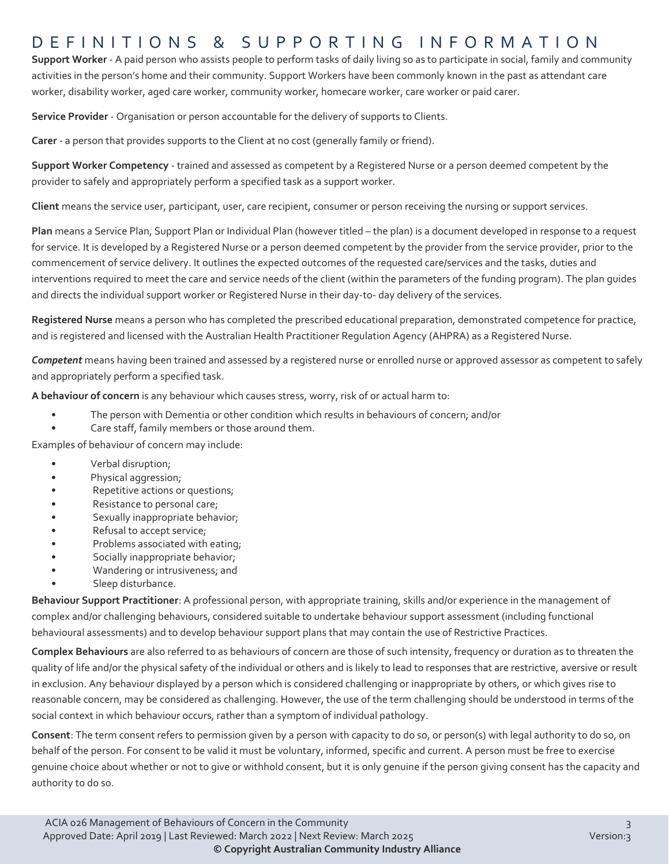### DEFINITIONS & SUPPORTING INFORMATIO N

**Support Worker** - A paid person who assists people to perform tasks of daily living so as to participate in social, family and community activities in the person's home and their community. Support Workers have been commonly known in the past as attendant care worker, disability worker, aged care worker, community worker, homecare worker, care worker or paid carer.

**Service Provider** - Organisation or person accountable for the delivery of supports to Clients.

**Carer** - a person that provides supports to the Client at no cost (generally family or friend).

**Support Worker Competency** - trained and assessed as competent by a Registered Nurse or a person deemed competent by the provider to safely and appropriately perform a specified task as a support worker.

**Client** means the service user, participant, user, care recipient, consumer or person receiving the nursing or support services.

**Plan** means a Service Plan, Support Plan or Individual Plan (however titled – the plan) is a document developed in response to a request for service. It is developed by a Registered Nurse or a person deemed competent by the provider from the service provider, prior to the commencement of service delivery. It outlines the expected outcomes of the requested care/services and the tasks, duties and interventions required to meet the care and service needs of the client (within the parameters of the funding program). The plan guides and directs the individual support worker or Registered Nurse in their day-to- day delivery of the services.

**Registered Nurse** means a person who has completed the prescribed educational preparation, demonstrated competence for practice, and is registered and licensed with the Australian Health Practitioner Regulation Agency (AHPRA) as a Registered Nurse.

*Competent* means having been trained and assessed by a registered nurse or enrolled nurse or approved assessor as competent to safely and appropriately perform a specified task.

**A behaviour of concern** is any behaviour which causes stress, worry, risk of or actual harm to:

- The person with Dementia or other condition which results in behaviours of concern; and/or
- Care staff, family members or those around them.

Examples of behaviour of concern may include:

- Verbal disruption;
- Physical aggression;
- Repetitive actions or questions;
- Resistance to personal care;
- Sexually inappropriate behavior;
- Refusal to accept service;
- Problems associated with eating;
- Socially inappropriate behavior;
- Wandering or intrusiveness; and
- Sleep disturbance.

**Behaviour Support Practitioner**: A professional person, with appropriate training, skills and/or experience in the management of complex and/or challenging behaviours, considered suitable to undertake behaviour support assessment (including functional behavioural assessments) and to develop behaviour support plans that may contain the use of Restrictive Practices.

**Complex Behaviours** are also referred to as behaviours of concern are those of such intensity, frequency or duration as to threaten the quality of life and/or the physical safety of the individual or others and is likely to lead to responses that are restrictive, aversive or result in exclusion. Any behaviour displayed by a person which is considered challenging or inappropriate by others, or which gives rise to reasonable concern, may be considered as challenging. However, the use of the term challenging should be understood in terms of the social context in which behaviour occurs, rather than a symptom of individual pathology.

**Consent**: The term consent refers to permission given by a person with capacity to do so, or person(s) with legal authority to do so, on behalf of the person. For consent to be valid it must be voluntary, informed, specific and current. A person must be free to exercise genuine choice about whether or not to give or withhold consent, but it is only genuine if the person giving consent has the capacity and authority to do so.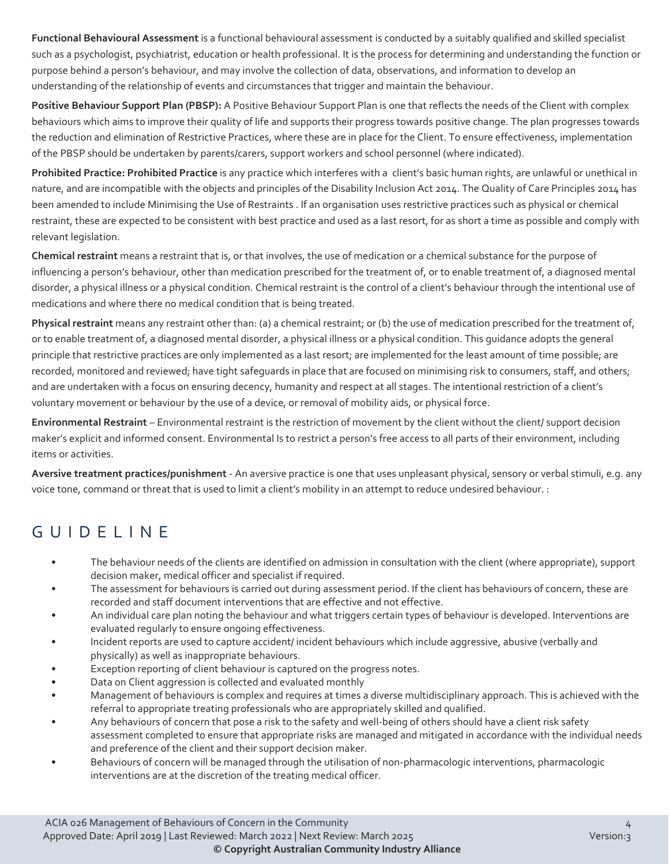**Functional Behavioural Assessment** is a functional behavioural assessment is conducted by a suitably qualified and skilled specialist such as a psychologist, psychiatrist, education or health professional. It is the process for determining and understanding the function or purpose behind a person's behaviour, and may involve the collection of data, observations, and information to develop an understanding of the relationship of events and circumstances that trigger and maintain the behaviour.

**Positive Behaviour Support Plan (PBSP):** A Positive Behaviour Support Plan is one that reflects the needs of the Client with complex behaviours which aims to improve their quality of life and supports their progress towards positive change. The plan progresses towards the reduction and elimination of Restrictive Practices, where these are in place for the Client. To ensure effectiveness, implementation of the PBSP should be undertaken by parents/carers, support workers and school personnel (where indicated).

**Prohibited Practice: Prohibited Practice** is any practice which interferes with a client's basic human rights, are unlawful or unethical in nature, and are incompatible with the objects and principles of the Disability Inclusion Act 2014. The Quality of Care Principles 2014 has been amended to include Minimising the Use of Restraints . If an organisation uses restrictive practices such as physical or chemical restraint, these are expected to be consistent with best practice and used as a last resort, for as short a time as possible and comply with relevant legislation.

**Chemical restraint** means a restraint that is, or that involves, the use of medication or a chemical substance for the purpose of influencing a person's behaviour, other than medication prescribed for the treatment of, or to enable treatment of, a diagnosed mental disorder, a physical illness or a physical condition. Chemical restraint is the control of a client's behaviour through the intentional use of medications and where there no medical condition that is being treated.

**Physical restraint** means any restraint other than: (a) a chemical restraint; or (b) the use of medication prescribed for the treatment of, or to enable treatment of, a diagnosed mental disorder, a physical illness or a physical condition. This guidance adopts the general principle that restrictive practices are only implemented as a last resort; are implemented for the least amount of time possible; are recorded, monitored and reviewed; have tight safeguards in place that are focused on minimising risk to consumers, staff, and others; and are undertaken with a focus on ensuring decency, humanity and respect at all stages. The intentional restriction of a client's voluntary movement or behaviour by the use of a device, or removal of mobility aids, or physical force.

**Environmental Restraint** – Environmental restraint is the restriction of movement by the client without the client/ support decision maker's explicit and informed consent. Environmental Is to restrict a person's free access to all parts of their environment, including items or activities.

**Aversive treatment practices/punishment** - An aversive practice is one that uses unpleasant physical, sensory or verbal stimuli, e.g. any voice tone, command or threat that is used to limit a client's mobility in an attempt to reduce undesired behaviour. :

# GUIDELINE

- The behaviour needs of the clients are identified on admission in consultation with the client (where appropriate), support decision maker, medical officer and specialist if required.
- The assessment for behaviours is carried out during assessment period. If the client has behaviours of concern, these are recorded and staff document interventions that are effective and not effective.
- An individual care plan noting the behaviour and what triggers certain types of behaviour is developed. Interventions are evaluated regularly to ensure ongoing effectiveness.
- Incident reports are used to capture accident/ incident behaviours which include aggressive, abusive (verbally and physically) as well as inappropriate behaviours.
- Exception reporting of client behaviour is captured on the progress notes.
- Data on Client aggression is collected and evaluated monthly
- Management of behaviours is complex and requires at times a diverse multidisciplinary approach. This is achieved with the referral to appropriate treating professionals who are appropriately skilled and qualified.
- Any behaviours of concern that pose a risk to the safety and well-being of others should have a client risk safety assessment completed to ensure that appropriate risks are managed and mitigated in accordance with the individual needs and preference of the client and their support decision maker.
- Behaviours of concern will be managed through the utilisation of non-pharmacologic interventions, pharmacologic interventions are at the discretion of the treating medical officer.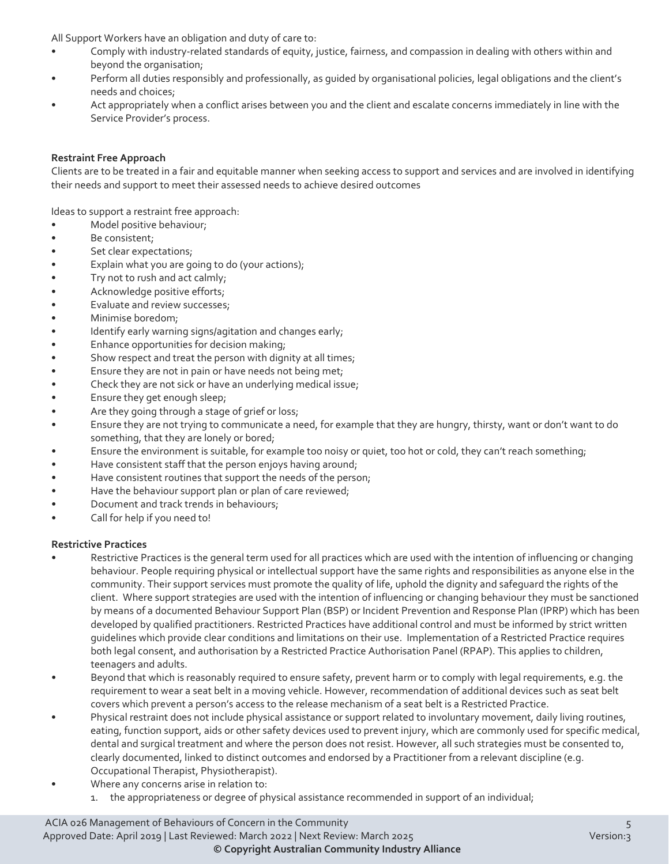All Support Workers have an obligation and duty of care to:

- Comply with industry-related standards of equity, justice, fairness, and compassion in dealing with others within and beyond the organisation;
- Perform all duties responsibly and professionally, as quided by organisational policies, legal obligations and the client's needs and choices;
- Act appropriately when a conflict arises between you and the client and escalate concerns immediately in line with the Service Provider's process.

### **Restraint Free Approach**

Clients are to be treated in a fair and equitable manner when seeking access to support and services and are involved in identifying their needs and support to meet their assessed needs to achieve desired outcomes

Ideas to support a restraint free approach:

- Model positive behaviour;
- Be consistent;
- Set clear expectations;
- Explain what you are going to do (your actions);
- Try not to rush and act calmly;
- Acknowledge positive efforts;
- Evaluate and review successes;
- Minimise boredom;
- Identify early warning signs/agitation and changes early;
- Enhance opportunities for decision making;
- Show respect and treat the person with dignity at all times;
- Ensure they are not in pain or have needs not being met;
- Check they are not sick or have an underlying medical issue;
- Ensure they get enough sleep;
- Are they going through a stage of grief or loss;
- Ensure they are not trying to communicate a need, for example that they are hungry, thirsty, want or don't want to do something, that they are lonely or bored;
- Ensure the environment is suitable, for example too noisy or quiet, too hot or cold, they can't reach something;
- Have consistent staff that the person enjoys having around;
- Have consistent routines that support the needs of the person;
- Have the behaviour support plan or plan of care reviewed;
- Document and track trends in behaviours;
- Call for help if you need to!

#### **Restrictive Practices**

- Restrictive Practices is the general term used for all practices which are used with the intention of influencing or changing behaviour. People requiring physical or intellectual support have the same rights and responsibilities as anyone else in the community. Their support services must promote the quality of life, uphold the dignity and safeguard the rights of the client. Where support strategies are used with the intention of influencing or changing behaviour they must be sanctioned by means of a documented Behaviour Support Plan (BSP) or Incident Prevention and Response Plan (IPRP) which has been developed by qualified practitioners. Restricted Practices have additional control and must be informed by strict written guidelines which provide clear conditions and limitations on their use. Implementation of a Restricted Practice requires both legal consent, and authorisation by a Restricted Practice Authorisation Panel (RPAP). This applies to children, teenagers and adults.
- Beyond that which is reasonably required to ensure safety, prevent harm or to comply with legal requirements, e.g. the requirement to wear a seat belt in a moving vehicle. However, recommendation of additional devices such as seat belt covers which prevent a person's access to the release mechanism of a seat belt is a Restricted Practice.
- Physical restraint does not include physical assistance or support related to involuntary movement, daily living routines, eating, function support, aids or other safety devices used to prevent injury, which are commonly used for specific medical, dental and surgical treatment and where the person does not resist. However, all such strategies must be consented to, clearly documented, linked to distinct outcomes and endorsed by a Practitioner from a relevant discipline (e.g. Occupational Therapist, Physiotherapist).
- Where any concerns arise in relation to:
	- 1. the appropriateness or degree of physical assistance recommended in support of an individual;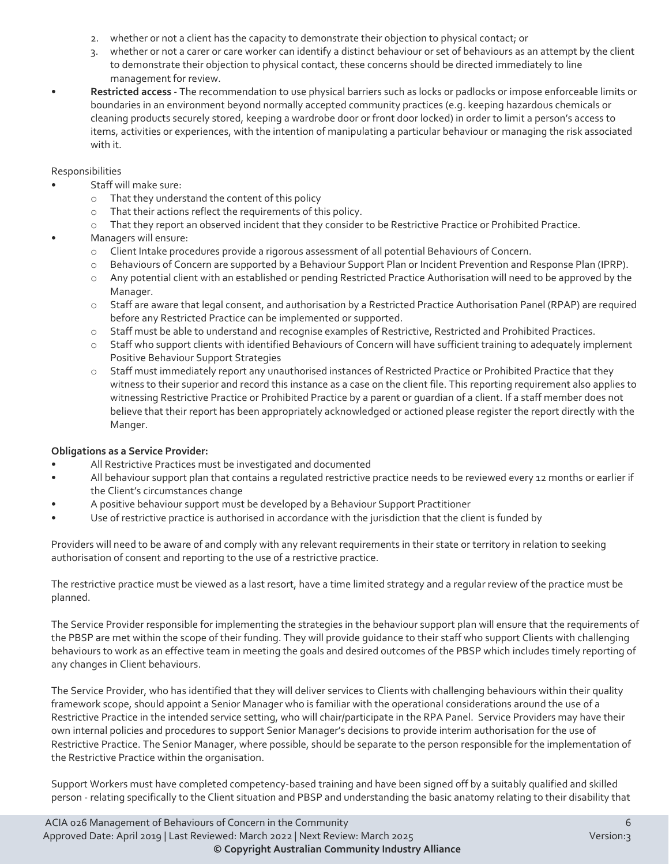- 2. whether or not a client has the capacity to demonstrate their objection to physical contact; or
- 3. whether or not a carer or care worker can identify a distinct behaviour or set of behaviours as an attempt by the client to demonstrate their objection to physical contact, these concerns should be directed immediately to line management for review.
- **Restricted access** The recommendation to use physical barriers such as locks or padlocks or impose enforceable limits or boundaries in an environment beyond normally accepted community practices (e.g. keeping hazardous chemicals or cleaning products securely stored, keeping a wardrobe door or front door locked) in order to limit a person's access to items, activities or experiences, with the intention of manipulating a particular behaviour or managing the risk associated with it.

### Responsibilities

- Staff will make sure:
	- o That they understand the content of this policy
	- o That their actions reflect the requirements of this policy.<br>
	o That they report an observed incident that they consider
	- That they report an observed incident that they consider to be Restrictive Practice or Prohibited Practice.
- Managers will ensure:
	- o Client Intake procedures provide a rigorous assessment of all potential Behaviours of Concern.
	- o Behaviours of Concern are supported by a Behaviour Support Plan or Incident Prevention and Response Plan (IPRP).
	- o Any potential client with an established or pending Restricted Practice Authorisation will need to be approved by the Manager.
	- o Staff are aware that legal consent, and authorisation by a Restricted Practice Authorisation Panel (RPAP) are required before any Restricted Practice can be implemented or supported.
	- o Staff must be able to understand and recognise examples of Restrictive, Restricted and Prohibited Practices.<br>
	o Staff who support clients with identified Behaviours of Concern will have sufficient training to adequately
	- Staff who support clients with identified Behaviours of Concern will have sufficient training to adequately implement Positive Behaviour Support Strategies
	- o Staff must immediately report any unauthorised instances of Restricted Practice or Prohibited Practice that they witness to their superior and record this instance as a case on the client file. This reporting requirement also applies to witnessing Restrictive Practice or Prohibited Practice by a parent or guardian of a client. If a staff member does not believe that their report has been appropriately acknowledged or actioned please register the report directly with the Manger.

#### **Obligations as a Service Provider:**

- All Restrictive Practices must be investigated and documented
- All behaviour support plan that contains a regulated restrictive practice needs to be reviewed every 12 months or earlier if the Client's circumstances change
- A positive behaviour support must be developed by a Behaviour Support Practitioner
- Use of restrictive practice is authorised in accordance with the jurisdiction that the client is funded by

Providers will need to be aware of and comply with any relevant requirements in their state or territory in relation to seeking authorisation of consent and reporting to the use of a restrictive practice.

The restrictive practice must be viewed as a last resort, have a time limited strategy and a regular review of the practice must be planned.

The Service Provider responsible for implementing the strategies in the behaviour support plan will ensure that the requirements of the PBSP are met within the scope of their funding. They will provide guidance to their staff who support Clients with challenging behaviours to work as an effective team in meeting the goals and desired outcomes of the PBSP which includes timely reporting of any changes in Client behaviours.

The Service Provider, who has identified that they will deliver services to Clients with challenging behaviours within their quality framework scope, should appoint a Senior Manager who is familiar with the operational considerations around the use of a Restrictive Practice in the intended service setting, who will chair/participate in the RPA Panel. Service Providers may have their own internal policies and procedures to support Senior Manager's decisions to provide interim authorisation for the use of Restrictive Practice. The Senior Manager, where possible, should be separate to the person responsible for the implementation of the Restrictive Practice within the organisation.

Support Workers must have completed competency-based training and have been signed off by a suitably qualified and skilled person - relating specifically to the Client situation and PBSP and understanding the basic anatomy relating to their disability that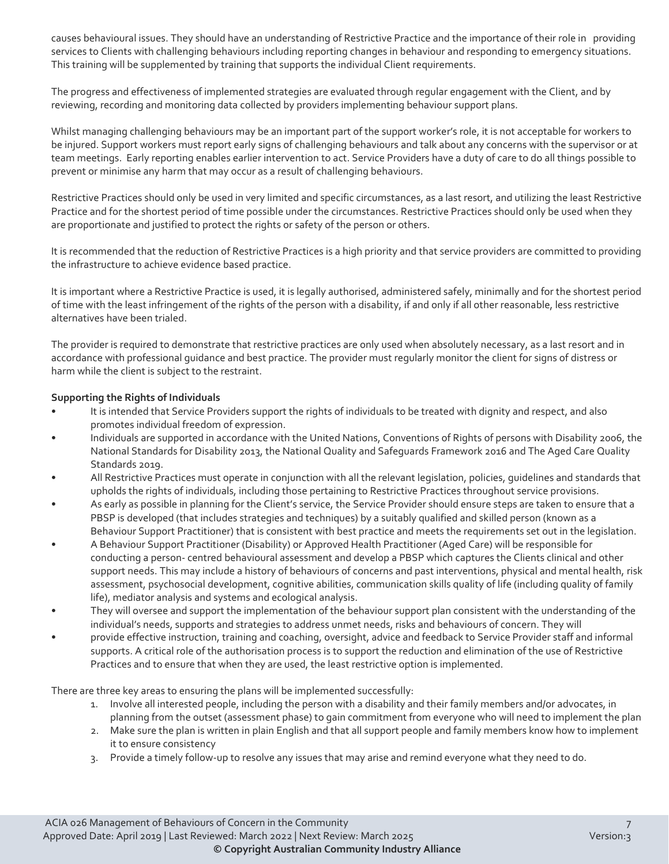causes behavioural issues. They should have an understanding of Restrictive Practice and the importance of their role in providing services to Clients with challenging behaviours including reporting changes in behaviour and responding to emergency situations. This training will be supplemented by training that supports the individual Client requirements.

The progress and effectiveness of implemented strategies are evaluated through regular engagement with the Client, and by reviewing, recording and monitoring data collected by providers implementing behaviour support plans.

Whilst managing challenging behaviours may be an important part of the support worker's role, it is not acceptable for workers to be injured. Support workers must report early signs of challenging behaviours and talk about any concerns with the supervisor or at team meetings. Early reporting enables earlier intervention to act. Service Providers have a duty of care to do all things possible to prevent or minimise any harm that may occur as a result of challenging behaviours.

Restrictive Practices should only be used in very limited and specific circumstances, as a last resort, and utilizing the least Restrictive Practice and for the shortest period of time possible under the circumstances. Restrictive Practices should only be used when they are proportionate and justified to protect the rights or safety of the person or others.

It is recommended that the reduction of Restrictive Practices is a high priority and that service providers are committed to providing the infrastructure to achieve evidence based practice.

It is important where a Restrictive Practice is used, it is legally authorised, administered safely, minimally and for the shortest period of time with the least infringement of the rights of the person with a disability, if and only if all other reasonable, less restrictive alternatives have been trialed.

The provider is required to demonstrate that restrictive practices are only used when absolutely necessary, as a last resort and in accordance with professional guidance and best practice. The provider must regularly monitor the client for signs of distress or harm while the client is subject to the restraint.

#### **Supporting the Rights of Individuals**

- It is intended that Service Providers support the rights of individuals to be treated with dignity and respect, and also promotes individual freedom of expression.
- Individuals are supported in accordance with the United Nations, Conventions of Rights of persons with Disability 2006, the National Standards for Disability 2013, the National Quality and Safeguards Framework 2016 and The Aged Care Quality Standards 2019.
- All Restrictive Practices must operate in conjunction with all the relevant legislation, policies, guidelines and standards that upholds the rights of individuals, including those pertaining to Restrictive Practices throughout service provisions.
- As early as possible in planning for the Client's service, the Service Provider should ensure steps are taken to ensure that a PBSP is developed (that includes strategies and techniques) by a suitably qualified and skilled person (known as a Behaviour Support Practitioner) that is consistent with best practice and meets the requirements set out in the legislation.
- A Behaviour Support Practitioner (Disability) or Approved Health Practitioner (Aged Care) will be responsible for conducting a person- centred behavioural assessment and develop a PBSP which captures the Clients clinical and other support needs. This may include a history of behaviours of concerns and past interventions, physical and mental health, risk assessment, psychosocial development, cognitive abilities, communication skills quality of life (including quality of family life), mediator analysis and systems and ecological analysis.
- They will oversee and support the implementation of the behaviour support plan consistent with the understanding of the individual's needs, supports and strategies to address unmet needs, risks and behaviours of concern. They will
- provide effective instruction, training and coaching, oversight, advice and feedback to Service Provider staff and informal supports. A critical role of the authorisation process is to support the reduction and elimination of the use of Restrictive Practices and to ensure that when they are used, the least restrictive option is implemented.

There are three key areas to ensuring the plans will be implemented successfully:

- 1. Involve all interested people, including the person with a disability and their family members and/or advocates, in planning from the outset (assessment phase) to gain commitment from everyone who will need to implement the plan
- 2. Make sure the plan is written in plain English and that all support people and family members know how to implement it to ensure consistency
- 3. Provide a timely follow-up to resolve any issues that may arise and remind everyone what they need to do.